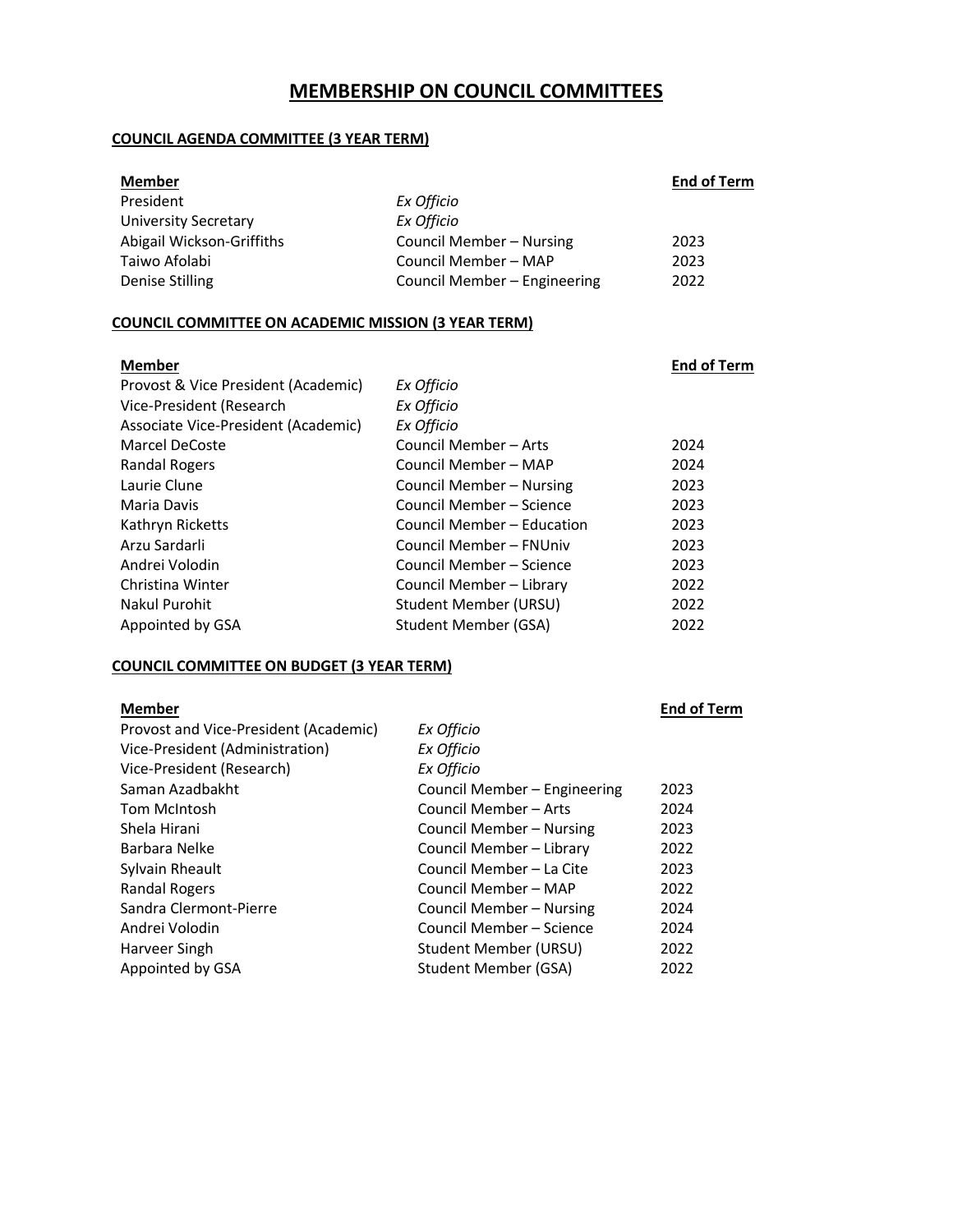# **MEMBERSHIP ON COUNCIL COMMITTEES**

## **COUNCIL AGENDA COMMITTEE (3 YEAR TERM)**

| <b>Member</b>             |                              | <b>End of Term</b> |
|---------------------------|------------------------------|--------------------|
| President                 | Ex Officio                   |                    |
| University Secretary      | Ex Officio                   |                    |
| Abigail Wickson-Griffiths | Council Member - Nursing     | 2023               |
| Taiwo Afolabi             | Council Member - MAP         | 2023               |
| Denise Stilling           | Council Member - Engineering | 2022               |
|                           |                              |                    |

## **COUNCIL COMMITTEE ON ACADEMIC MISSION (3 YEAR TERM)**

| <b>Member</b>                       |                            | <b>End of Term</b> |
|-------------------------------------|----------------------------|--------------------|
| Provost & Vice President (Academic) | Ex Officio                 |                    |
| Vice-President (Research            | Ex Officio                 |                    |
| Associate Vice-President (Academic) | Ex Officio                 |                    |
| <b>Marcel DeCoste</b>               | Council Member - Arts      | 2024               |
| Randal Rogers                       | Council Member - MAP       | 2024               |
| Laurie Clune                        | Council Member – Nursing   | 2023               |
| Maria Davis                         | Council Member – Science   | 2023               |
| Kathryn Ricketts                    | Council Member – Education | 2023               |
| Arzu Sardarli                       | Council Member – FNUniv    | 2023               |
| Andrei Volodin                      | Council Member – Science   | 2023               |
| Christina Winter                    | Council Member - Library   | 2022               |
| Nakul Purohit                       | Student Member (URSU)      | 2022               |
| Appointed by GSA                    | Student Member (GSA)       | 2022               |

## **COUNCIL COMMITTEE ON BUDGET (3 YEAR TERM)**

| <b>End of Term</b>                   |
|--------------------------------------|
|                                      |
|                                      |
|                                      |
| Council Member – Engineering<br>2023 |
| 2024                                 |
| Council Member – Nursing<br>2023     |
| 2022                                 |
| 2023                                 |
| 2022                                 |
| Council Member - Nursing<br>2024     |
| 2024                                 |
| 2022                                 |
| 2022                                 |
| Council Member – Science             |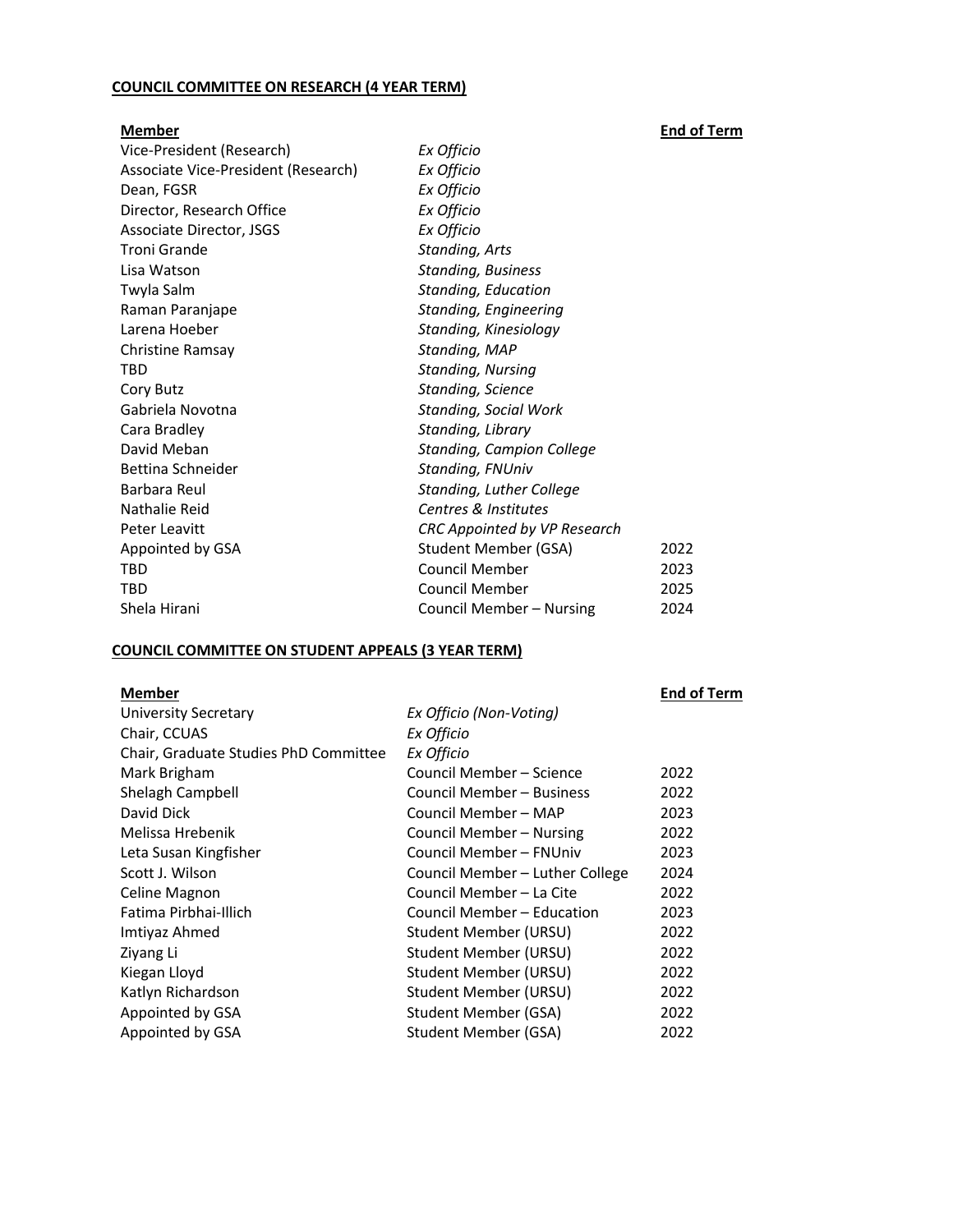## **COUNCIL COMMITTEE ON RESEARCH (4 YEAR TERM)**

**Member End of Term** Vice-President (Research) *Ex Officio* Associate Vice-President (Research) *Ex Officio* Dean, FGSR *Ex Officio* Director, Research Office *Ex Officio* Associate Director, JSGS *Ex Officio* Troni Grande *Standing, Arts* Lisa Watson *Standing, Business* Twyla Salm *Standing, Education* Raman Paranjape *Standing, Engineering* Larena Hoeber *Standing, Kinesiology* Christine Ramsay *Standing, MAP* TBD *Standing, Nursing* Cory Butz *Standing, Science* Gabriela Novotna *Standing, Social Work* Cara Bradley *Standing, Library* David Meban *Standing, Campion College* Bettina Schneider *Standing, FNUniv* Barbara Reul *Standing, Luther College* Nathalie Reid *Centres & Institutes* Peter Leavitt *CRC Appointed by VP Research* Appointed by GSA Student Member (GSA) 2022 TBD Council Member 2023 TBD Council Member 2025 Shela Hirani Council Member – Nursing 2024

## **COUNCIL COMMITTEE ON STUDENT APPEALS (3 YEAR TERM)**

#### **Member End of Term**

| <b>University Secretary</b>           | Ex Officio (Non-Voting)         |      |
|---------------------------------------|---------------------------------|------|
| Chair, CCUAS                          | Ex Officio                      |      |
| Chair, Graduate Studies PhD Committee | Ex Officio                      |      |
| Mark Brigham                          | Council Member - Science        | 2022 |
| Shelagh Campbell                      | Council Member – Business       | 2022 |
| David Dick                            | Council Member – MAP            | 2023 |
| Melissa Hrebenik                      | Council Member - Nursing        | 2022 |
| Leta Susan Kingfisher                 | Council Member - FNUniv         | 2023 |
| Scott J. Wilson                       | Council Member - Luther College | 2024 |
| Celine Magnon                         | Council Member – La Cite        | 2022 |
| Fatima Pirbhai-Illich                 | Council Member - Education      | 2023 |
| Imtiyaz Ahmed                         | Student Member (URSU)           | 2022 |
| Ziyang Li                             | Student Member (URSU)           | 2022 |
| Kiegan Lloyd                          | Student Member (URSU)           | 2022 |
| Katlyn Richardson                     | Student Member (URSU)           | 2022 |
| Appointed by GSA                      | Student Member (GSA)            | 2022 |
| Appointed by GSA                      | Student Member (GSA)            | 2022 |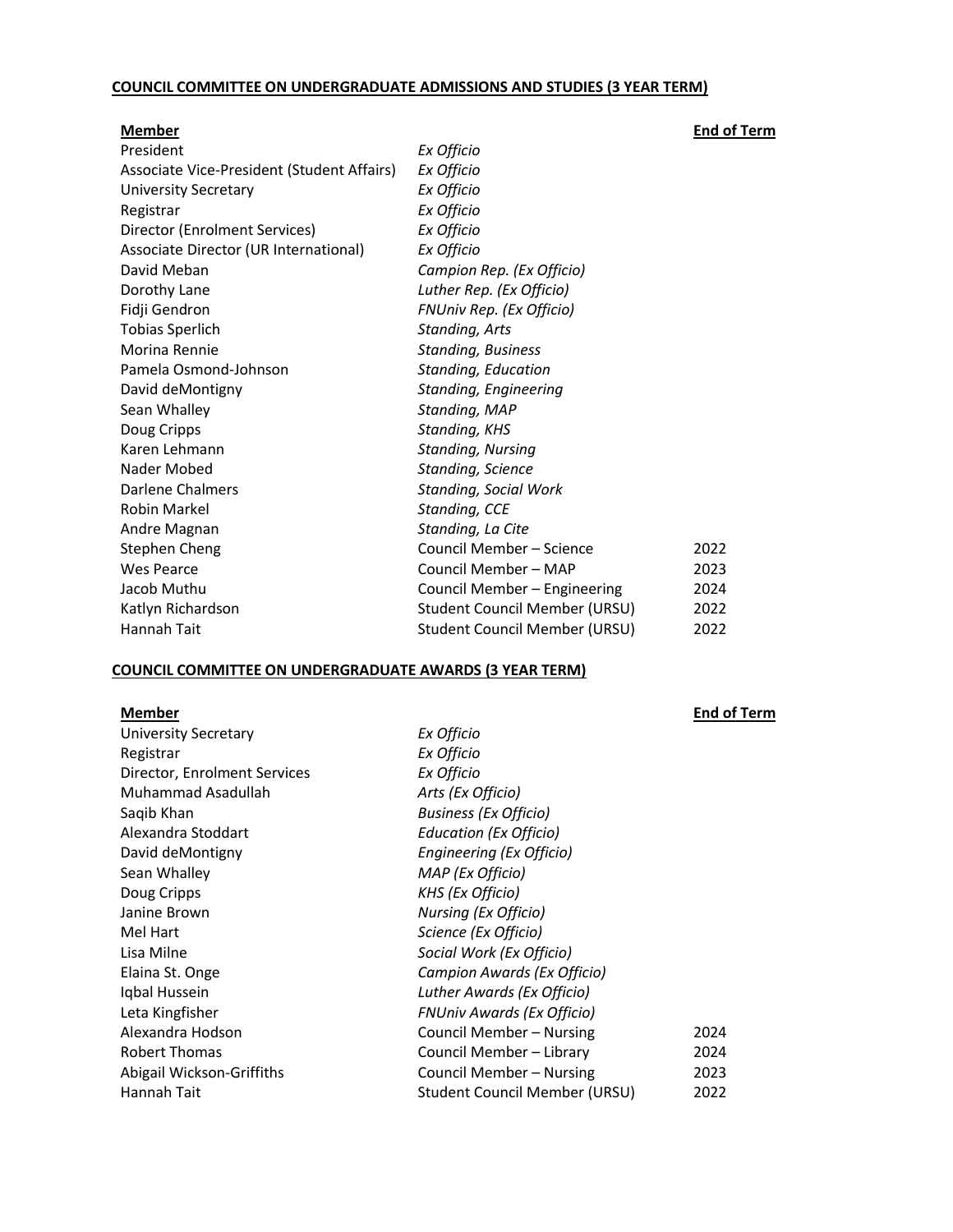## **COUNCIL COMMITTEE ON UNDERGRADUATE ADMISSIONS AND STUDIES (3 YEAR TERM)**

| <b>Member</b>                              |                                      | <b>End of Term</b> |
|--------------------------------------------|--------------------------------------|--------------------|
| President                                  | Ex Officio                           |                    |
| Associate Vice-President (Student Affairs) | Ex Officio                           |                    |
| <b>University Secretary</b>                | Ex Officio                           |                    |
| Registrar                                  | Ex Officio                           |                    |
| Director (Enrolment Services)              | Ex Officio                           |                    |
| Associate Director (UR International)      | Ex Officio                           |                    |
| David Meban                                | Campion Rep. (Ex Officio)            |                    |
| Dorothy Lane                               | Luther Rep. (Ex Officio)             |                    |
| Fidji Gendron                              | FNUniv Rep. (Ex Officio)             |                    |
| <b>Tobias Sperlich</b>                     | Standing, Arts                       |                    |
| Morina Rennie                              | <b>Standing, Business</b>            |                    |
| Pamela Osmond-Johnson                      | Standing, Education                  |                    |
| David deMontigny                           | <b>Standing, Engineering</b>         |                    |
| Sean Whalley                               | Standing, MAP                        |                    |
| Doug Cripps                                | Standing, KHS                        |                    |
| Karen Lehmann                              | <b>Standing, Nursing</b>             |                    |
| Nader Mobed                                | Standing, Science                    |                    |
| <b>Darlene Chalmers</b>                    | <b>Standing, Social Work</b>         |                    |
| <b>Robin Markel</b>                        | Standing, CCE                        |                    |
| Andre Magnan                               | Standing, La Cite                    |                    |
| Stephen Cheng                              | Council Member - Science             | 2022               |
| Wes Pearce                                 | Council Member - MAP                 | 2023               |
| Jacob Muthu                                | Council Member - Engineering         | 2024               |
| Katlyn Richardson                          | <b>Student Council Member (URSU)</b> | 2022               |
| Hannah Tait                                | Student Council Member (URSU)        | 2022               |

## **COUNCIL COMMITTEE ON UNDERGRADUATE AWARDS (3 YEAR TERM)**

| <b>Member</b> |  |
|---------------|--|
|---------------|--|

| <b>University Secretary</b>  | Ex Officio                           |      |
|------------------------------|--------------------------------------|------|
| Registrar                    | Ex Officio                           |      |
| Director, Enrolment Services | Ex Officio                           |      |
| Muhammad Asadullah           | Arts (Ex Officio)                    |      |
| Saqib Khan                   | <b>Business (Ex Officio)</b>         |      |
| Alexandra Stoddart           | Education (Ex Officio)               |      |
| David deMontigny             | Engineering (Ex Officio)             |      |
| Sean Whalley                 | MAP (Ex Officio)                     |      |
| Doug Cripps                  | KHS (Ex Officio)                     |      |
| Janine Brown                 | <b>Nursing (Ex Officio)</b>          |      |
| Mel Hart                     | Science (Ex Officio)                 |      |
| Lisa Milne                   | Social Work (Ex Officio)             |      |
| Elaina St. Onge              | Campion Awards (Ex Officio)          |      |
| Iqbal Hussein                | Luther Awards (Ex Officio)           |      |
| Leta Kingfisher              | <b>FNUniv Awards (Ex Officio)</b>    |      |
| Alexandra Hodson             | Council Member – Nursing             | 2024 |
| Robert Thomas                | Council Member - Library             | 2024 |
| Abigail Wickson-Griffiths    | Council Member - Nursing             | 2023 |
| Hannah Tait                  | <b>Student Council Member (URSU)</b> | 2022 |

**<u>End of Term</u>**